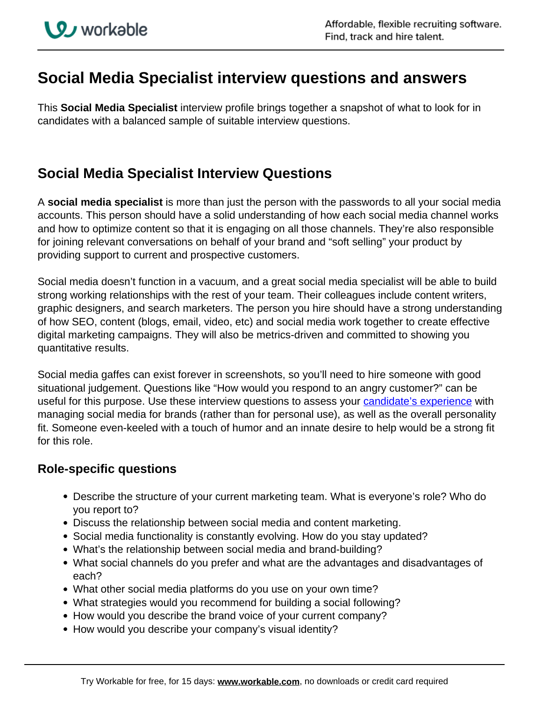## **Social Media Specialist interview questions and answers**

This **Social Media Specialist** interview profile brings together a snapshot of what to look for in candidates with a balanced sample of suitable interview questions.

## **Social Media Specialist Interview Questions**

A **social media specialist** is more than just the person with the passwords to all your social media accounts. This person should have a solid understanding of how each social media channel works and how to optimize content so that it is engaging on all those channels. They're also responsible for joining relevant conversations on behalf of your brand and "soft selling" your product by providing support to current and prospective customers.

Social media doesn't function in a vacuum, and a great social media specialist will be able to build strong working relationships with the rest of your team. Their colleagues include content writers, graphic designers, and search marketers. The person you hire should have a strong understanding of how SEO, content (blogs, email, video, etc) and social media work together to create effective digital marketing campaigns. They will also be metrics-driven and committed to showing you quantitative results.

Social media gaffes can exist forever in screenshots, so you'll need to hire someone with good situational judgement. Questions like "How would you respond to an angry customer?" can be useful for this purpose. Use these interview questions to assess your [candidate's experience](https://resources.workable.com/social-media-coordinator-job-description) with managing social media for brands (rather than for personal use), as well as the overall personality fit. Someone even-keeled with a touch of humor and an innate desire to help would be a strong fit for this role.

## **Role-specific questions**

- Describe the structure of your current marketing team. What is everyone's role? Who do you report to?
- Discuss the relationship between social media and content marketing.
- Social media functionality is constantly evolving. How do you stay updated?
- What's the relationship between social media and brand-building?
- What social channels do you prefer and what are the advantages and disadvantages of each?
- What other social media platforms do you use on your own time?
- What strategies would you recommend for building a social following?
- How would you describe the brand voice of your current company?
- How would you describe your company's visual identity?